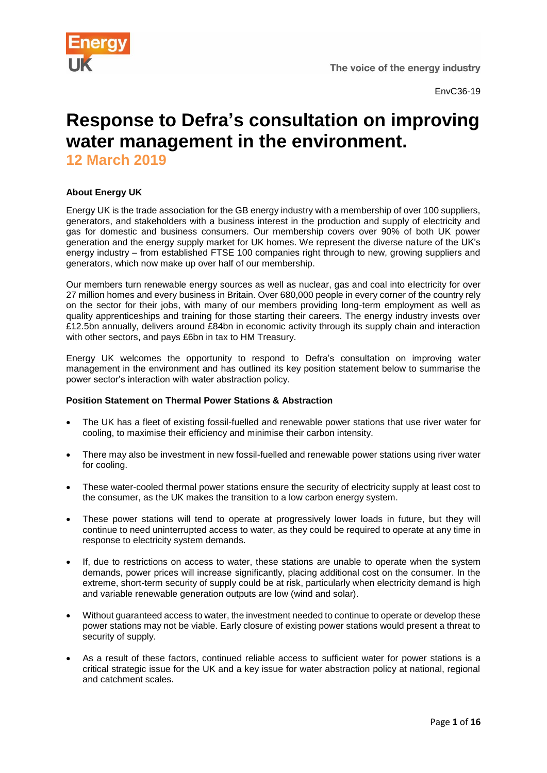

# **Response to Defra's consultation on improving water management in the environment. 12 March 2019**

# **About Energy UK**

Energy UK is the trade association for the GB energy industry with a membership of over 100 suppliers, generators, and stakeholders with a business interest in the production and supply of electricity and gas for domestic and business consumers. Our membership covers over 90% of both UK power generation and the energy supply market for UK homes. We represent the diverse nature of the UK's energy industry – from established FTSE 100 companies right through to new, growing suppliers and generators, which now make up over half of our membership.

Our members turn renewable energy sources as well as nuclear, gas and coal into electricity for over 27 million homes and every business in Britain. Over 680,000 people in every corner of the country rely on the sector for their jobs, with many of our members providing long-term employment as well as quality apprenticeships and training for those starting their careers. The energy industry invests over £12.5bn annually, delivers around £84bn in economic activity through its supply chain and interaction with other sectors, and pays £6bn in tax to HM Treasury.

Energy UK welcomes the opportunity to respond to Defra's consultation on improving water management in the environment and has outlined its key position statement below to summarise the power sector's interaction with water abstraction policy.

# **Position Statement on Thermal Power Stations & Abstraction**

- The UK has a fleet of existing fossil-fuelled and renewable power stations that use river water for cooling, to maximise their efficiency and minimise their carbon intensity.
- There may also be investment in new fossil-fuelled and renewable power stations using river water for cooling.
- These water-cooled thermal power stations ensure the security of electricity supply at least cost to the consumer, as the UK makes the transition to a low carbon energy system.
- These power stations will tend to operate at progressively lower loads in future, but they will continue to need uninterrupted access to water, as they could be required to operate at any time in response to electricity system demands.
- If, due to restrictions on access to water, these stations are unable to operate when the system demands, power prices will increase significantly, placing additional cost on the consumer. In the extreme, short-term security of supply could be at risk, particularly when electricity demand is high and variable renewable generation outputs are low (wind and solar).
- Without guaranteed access to water, the investment needed to continue to operate or develop these power stations may not be viable. Early closure of existing power stations would present a threat to security of supply.
- As a result of these factors, continued reliable access to sufficient water for power stations is a critical strategic issue for the UK and a key issue for water abstraction policy at national, regional and catchment scales.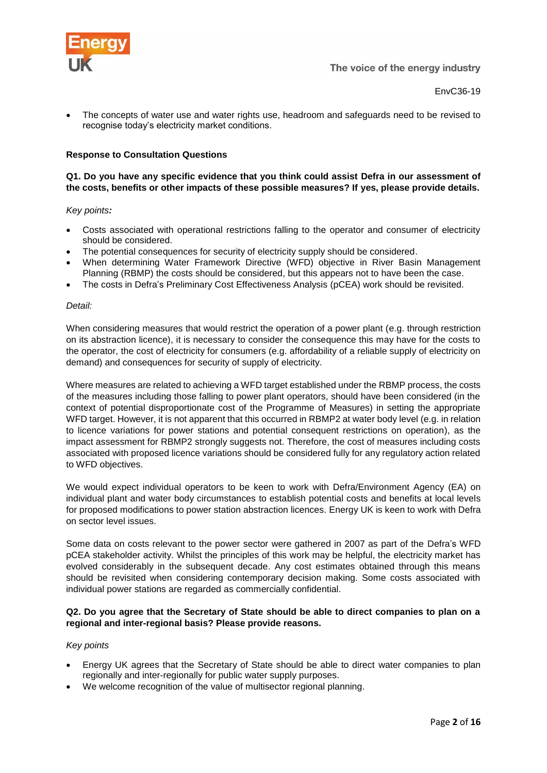

• The concepts of water use and water rights use, headroom and safeguards need to be revised to recognise today's electricity market conditions.

# **Response to Consultation Questions**

# **Q1. Do you have any specific evidence that you think could assist Defra in our assessment of the costs, benefits or other impacts of these possible measures? If yes, please provide details.**

# *Key points:*

- Costs associated with operational restrictions falling to the operator and consumer of electricity should be considered.
- The potential consequences for security of electricity supply should be considered.
- When determining Water Framework Directive (WFD) objective in River Basin Management Planning (RBMP) the costs should be considered, but this appears not to have been the case.
- The costs in Defra's Preliminary Cost Effectiveness Analysis (pCEA) work should be revisited.

#### *Detail:*

When considering measures that would restrict the operation of a power plant (e.g. through restriction on its abstraction licence), it is necessary to consider the consequence this may have for the costs to the operator, the cost of electricity for consumers (e.g. affordability of a reliable supply of electricity on demand) and consequences for security of supply of electricity.

Where measures are related to achieving a WFD target established under the RBMP process, the costs of the measures including those falling to power plant operators, should have been considered (in the context of potential disproportionate cost of the Programme of Measures) in setting the appropriate WFD target. However, it is not apparent that this occurred in RBMP2 at water body level (e.g. in relation to licence variations for power stations and potential consequent restrictions on operation), as the impact assessment for RBMP2 strongly suggests not. Therefore, the cost of measures including costs associated with proposed licence variations should be considered fully for any regulatory action related to WFD objectives.

We would expect individual operators to be keen to work with Defra/Environment Agency (EA) on individual plant and water body circumstances to establish potential costs and benefits at local levels for proposed modifications to power station abstraction licences. Energy UK is keen to work with Defra on sector level issues.

Some data on costs relevant to the power sector were gathered in 2007 as part of the Defra's WFD pCEA stakeholder activity. Whilst the principles of this work may be helpful, the electricity market has evolved considerably in the subsequent decade. Any cost estimates obtained through this means should be revisited when considering contemporary decision making. Some costs associated with individual power stations are regarded as commercially confidential.

# **Q2. Do you agree that the Secretary of State should be able to direct companies to plan on a regional and inter-regional basis? Please provide reasons.**

#### *Key points*

- Energy UK agrees that the Secretary of State should be able to direct water companies to plan regionally and inter-regionally for public water supply purposes.
- We welcome recognition of the value of multisector regional planning.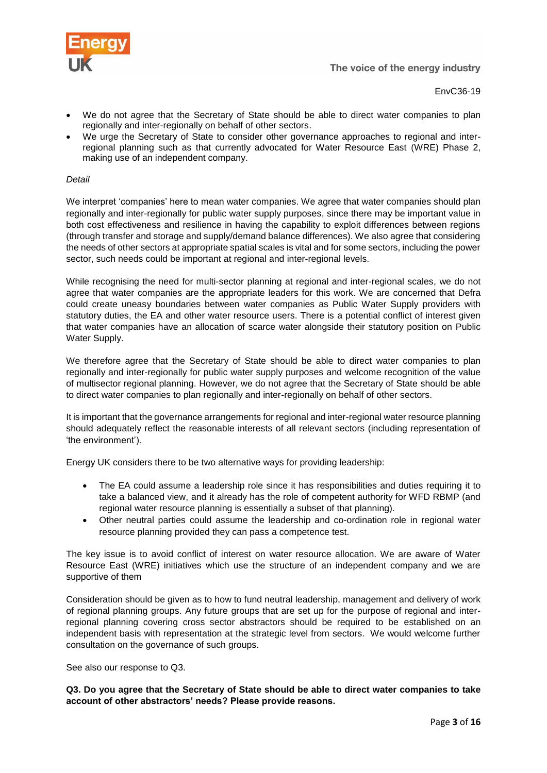

- We do not agree that the Secretary of State should be able to direct water companies to plan regionally and inter-regionally on behalf of other sectors.
- We urge the Secretary of State to consider other governance approaches to regional and interregional planning such as that currently advocated for Water Resource East (WRE) Phase 2, making use of an independent company.

# *Detail*

We interpret 'companies' here to mean water companies. We agree that water companies should plan regionally and inter-regionally for public water supply purposes, since there may be important value in both cost effectiveness and resilience in having the capability to exploit differences between regions (through transfer and storage and supply/demand balance differences). We also agree that considering the needs of other sectors at appropriate spatial scales is vital and for some sectors, including the power sector, such needs could be important at regional and inter-regional levels.

While recognising the need for multi-sector planning at regional and inter-regional scales, we do not agree that water companies are the appropriate leaders for this work. We are concerned that Defra could create uneasy boundaries between water companies as Public Water Supply providers with statutory duties, the EA and other water resource users. There is a potential conflict of interest given that water companies have an allocation of scarce water alongside their statutory position on Public Water Supply.

We therefore agree that the Secretary of State should be able to direct water companies to plan regionally and inter-regionally for public water supply purposes and welcome recognition of the value of multisector regional planning. However, we do not agree that the Secretary of State should be able to direct water companies to plan regionally and inter-regionally on behalf of other sectors.

It is important that the governance arrangements for regional and inter-regional water resource planning should adequately reflect the reasonable interests of all relevant sectors (including representation of 'the environment').

Energy UK considers there to be two alternative ways for providing leadership:

- The EA could assume a leadership role since it has responsibilities and duties requiring it to take a balanced view, and it already has the role of competent authority for WFD RBMP (and regional water resource planning is essentially a subset of that planning).
- Other neutral parties could assume the leadership and co-ordination role in regional water resource planning provided they can pass a competence test.

The key issue is to avoid conflict of interest on water resource allocation. We are aware of Water Resource East (WRE) initiatives which use the structure of an independent company and we are supportive of them

Consideration should be given as to how to fund neutral leadership, management and delivery of work of regional planning groups. Any future groups that are set up for the purpose of regional and interregional planning covering cross sector abstractors should be required to be established on an independent basis with representation at the strategic level from sectors. We would welcome further consultation on the governance of such groups.

See also our response to Q3.

**Q3. Do you agree that the Secretary of State should be able to direct water companies to take account of other abstractors' needs? Please provide reasons.**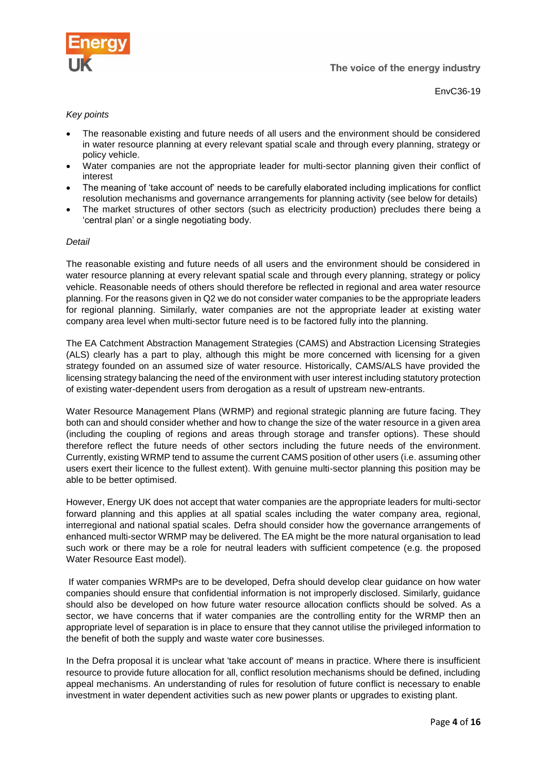

EnvC36-19

# *Key points*

- The reasonable existing and future needs of all users and the environment should be considered in water resource planning at every relevant spatial scale and through every planning, strategy or policy vehicle.
- Water companies are not the appropriate leader for multi-sector planning given their conflict of interest
- The meaning of 'take account of' needs to be carefully elaborated including implications for conflict resolution mechanisms and governance arrangements for planning activity (see below for details)
- The market structures of other sectors (such as electricity production) precludes there being a 'central plan' or a single negotiating body.

# *Detail*

The reasonable existing and future needs of all users and the environment should be considered in water resource planning at every relevant spatial scale and through every planning, strategy or policy vehicle. Reasonable needs of others should therefore be reflected in regional and area water resource planning. For the reasons given in Q2 we do not consider water companies to be the appropriate leaders for regional planning. Similarly, water companies are not the appropriate leader at existing water company area level when multi-sector future need is to be factored fully into the planning.

The EA Catchment Abstraction Management Strategies (CAMS) and Abstraction Licensing Strategies (ALS) clearly has a part to play, although this might be more concerned with licensing for a given strategy founded on an assumed size of water resource. Historically, CAMS/ALS have provided the licensing strategy balancing the need of the environment with user interest including statutory protection of existing water-dependent users from derogation as a result of upstream new-entrants.

Water Resource Management Plans (WRMP) and regional strategic planning are future facing. They both can and should consider whether and how to change the size of the water resource in a given area (including the coupling of regions and areas through storage and transfer options). These should therefore reflect the future needs of other sectors including the future needs of the environment. Currently, existing WRMP tend to assume the current CAMS position of other users (i.e. assuming other users exert their licence to the fullest extent). With genuine multi-sector planning this position may be able to be better optimised.

However, Energy UK does not accept that water companies are the appropriate leaders for multi-sector forward planning and this applies at all spatial scales including the water company area, regional, interregional and national spatial scales. Defra should consider how the governance arrangements of enhanced multi-sector WRMP may be delivered. The EA might be the more natural organisation to lead such work or there may be a role for neutral leaders with sufficient competence (e.g. the proposed Water Resource East model).

If water companies WRMPs are to be developed, Defra should develop clear guidance on how water companies should ensure that confidential information is not improperly disclosed. Similarly, guidance should also be developed on how future water resource allocation conflicts should be solved. As a sector, we have concerns that if water companies are the controlling entity for the WRMP then an appropriate level of separation is in place to ensure that they cannot utilise the privileged information to the benefit of both the supply and waste water core businesses.

In the Defra proposal it is unclear what 'take account of' means in practice. Where there is insufficient resource to provide future allocation for all, conflict resolution mechanisms should be defined, including appeal mechanisms. An understanding of rules for resolution of future conflict is necessary to enable investment in water dependent activities such as new power plants or upgrades to existing plant.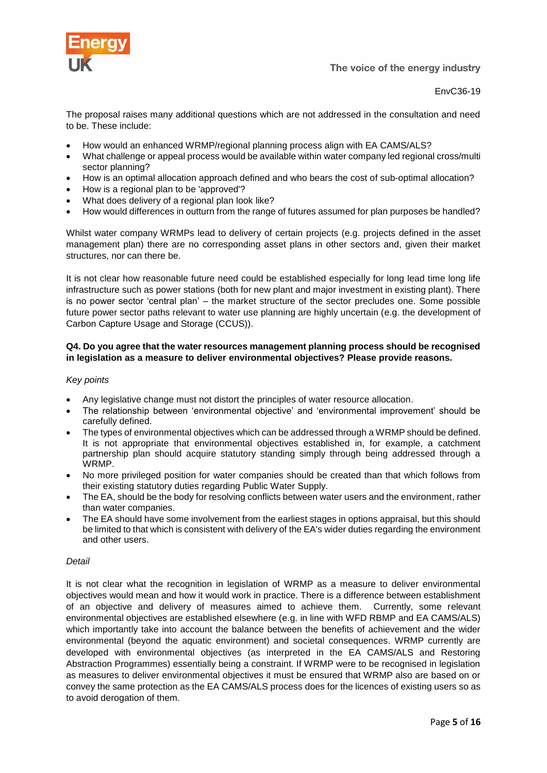![](_page_4_Picture_0.jpeg)

EnvC36-19

The proposal raises many additional questions which are not addressed in the consultation and need to be. These include:

- How would an enhanced WRMP/regional planning process align with EA CAMS/ALS?
- What challenge or appeal process would be available within water company led regional cross/multi sector planning?
- How is an optimal allocation approach defined and who bears the cost of sub-optimal allocation?
- How is a regional plan to be 'approved'?
- What does delivery of a regional plan look like?
- How would differences in outturn from the range of futures assumed for plan purposes be handled?

Whilst water company WRMPs lead to delivery of certain projects (e.g. projects defined in the asset management plan) there are no corresponding asset plans in other sectors and, given their market structures, nor can there be.

It is not clear how reasonable future need could be established especially for long lead time long life infrastructure such as power stations (both for new plant and major investment in existing plant). There is no power sector 'central plan' – the market structure of the sector precludes one. Some possible future power sector paths relevant to water use planning are highly uncertain (e.g. the development of Carbon Capture Usage and Storage (CCUS)).

# **Q4. Do you agree that the water resources management planning process should be recognised in legislation as a measure to deliver environmental objectives? Please provide reasons.**

# *Key points*

- Any legislative change must not distort the principles of water resource allocation.
- The relationship between 'environmental objective' and 'environmental improvement' should be carefully defined.
- The types of environmental objectives which can be addressed through a WRMP should be defined. It is not appropriate that environmental objectives established in, for example, a catchment partnership plan should acquire statutory standing simply through being addressed through a WRMP.
- No more privileged position for water companies should be created than that which follows from their existing statutory duties regarding Public Water Supply.
- The EA, should be the body for resolving conflicts between water users and the environment, rather than water companies.
- The EA should have some involvement from the earliest stages in options appraisal, but this should be limited to that which is consistent with delivery of the EA's wider duties regarding the environment and other users.

# *Detail*

It is not clear what the recognition in legislation of WRMP as a measure to deliver environmental objectives would mean and how it would work in practice. There is a difference between establishment of an objective and delivery of measures aimed to achieve them. Currently, some relevant environmental objectives are established elsewhere (e.g. in line with WFD RBMP and EA CAMS/ALS) which importantly take into account the balance between the benefits of achievement and the wider environmental (beyond the aquatic environment) and societal consequences. WRMP currently are developed with environmental objectives (as interpreted in the EA CAMS/ALS and Restoring Abstraction Programmes) essentially being a constraint. If WRMP were to be recognised in legislation as measures to deliver environmental objectives it must be ensured that WRMP also are based on or convey the same protection as the EA CAMS/ALS process does for the licences of existing users so as to avoid derogation of them.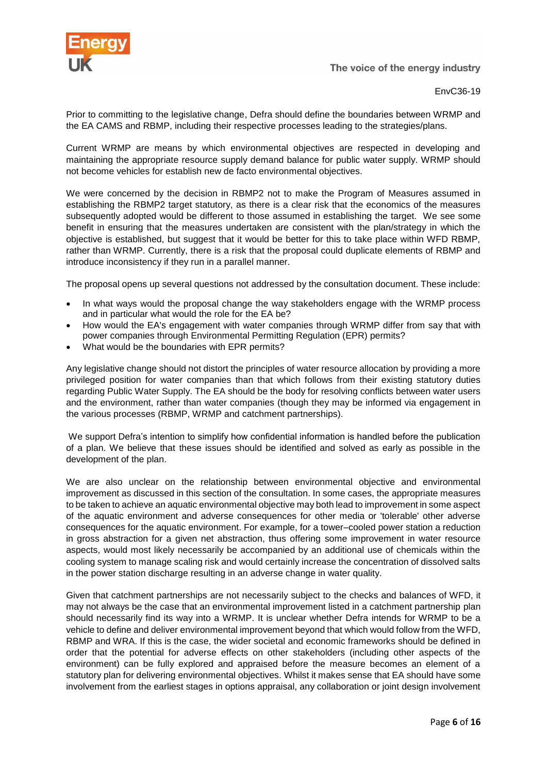![](_page_5_Picture_0.jpeg)

EnvC36-19

Prior to committing to the legislative change, Defra should define the boundaries between WRMP and the EA CAMS and RBMP, including their respective processes leading to the strategies/plans.

Current WRMP are means by which environmental objectives are respected in developing and maintaining the appropriate resource supply demand balance for public water supply. WRMP should not become vehicles for establish new de facto environmental objectives.

We were concerned by the decision in RBMP2 not to make the Program of Measures assumed in establishing the RBMP2 target statutory, as there is a clear risk that the economics of the measures subsequently adopted would be different to those assumed in establishing the target. We see some benefit in ensuring that the measures undertaken are consistent with the plan/strategy in which the objective is established, but suggest that it would be better for this to take place within WFD RBMP, rather than WRMP. Currently, there is a risk that the proposal could duplicate elements of RBMP and introduce inconsistency if they run in a parallel manner.

The proposal opens up several questions not addressed by the consultation document. These include:

- In what ways would the proposal change the way stakeholders engage with the WRMP process and in particular what would the role for the EA be?
- How would the EA's engagement with water companies through WRMP differ from say that with power companies through Environmental Permitting Regulation (EPR) permits?
- What would be the boundaries with EPR permits?

Any legislative change should not distort the principles of water resource allocation by providing a more privileged position for water companies than that which follows from their existing statutory duties regarding Public Water Supply. The EA should be the body for resolving conflicts between water users and the environment, rather than water companies (though they may be informed via engagement in the various processes (RBMP, WRMP and catchment partnerships).

We support Defra's intention to simplify how confidential information is handled before the publication of a plan. We believe that these issues should be identified and solved as early as possible in the development of the plan.

We are also unclear on the relationship between environmental objective and environmental improvement as discussed in this section of the consultation. In some cases, the appropriate measures to be taken to achieve an aquatic environmental objective may both lead to improvement in some aspect of the aquatic environment and adverse consequences for other media or 'tolerable' other adverse consequences for the aquatic environment. For example, for a tower–cooled power station a reduction in gross abstraction for a given net abstraction, thus offering some improvement in water resource aspects, would most likely necessarily be accompanied by an additional use of chemicals within the cooling system to manage scaling risk and would certainly increase the concentration of dissolved salts in the power station discharge resulting in an adverse change in water quality.

Given that catchment partnerships are not necessarily subject to the checks and balances of WFD, it may not always be the case that an environmental improvement listed in a catchment partnership plan should necessarily find its way into a WRMP. It is unclear whether Defra intends for WRMP to be a vehicle to define and deliver environmental improvement beyond that which would follow from the WFD, RBMP and WRA. If this is the case, the wider societal and economic frameworks should be defined in order that the potential for adverse effects on other stakeholders (including other aspects of the environment) can be fully explored and appraised before the measure becomes an element of a statutory plan for delivering environmental objectives. Whilst it makes sense that EA should have some involvement from the earliest stages in options appraisal, any collaboration or joint design involvement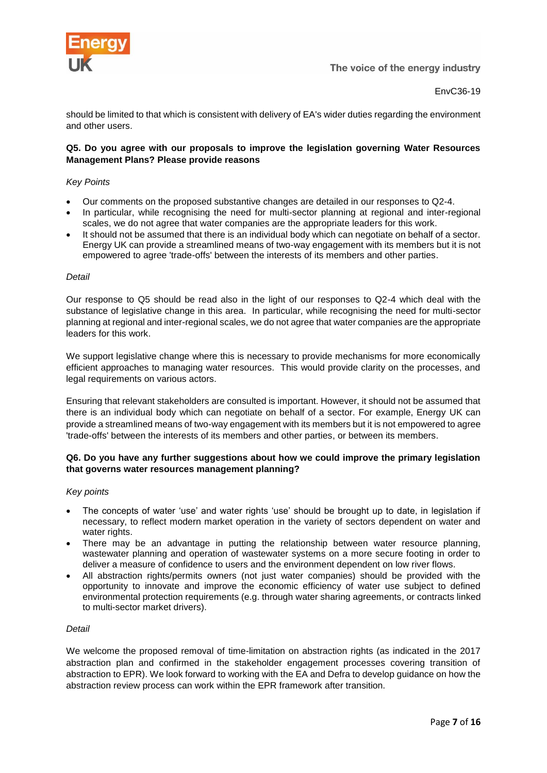![](_page_6_Picture_0.jpeg)

should be limited to that which is consistent with delivery of EA's wider duties regarding the environment and other users.

# **Q5. Do you agree with our proposals to improve the legislation governing Water Resources Management Plans? Please provide reasons**

# *Key Points*

- Our comments on the proposed substantive changes are detailed in our responses to Q2-4.
- In particular, while recognising the need for multi-sector planning at regional and inter-regional scales, we do not agree that water companies are the appropriate leaders for this work.
- It should not be assumed that there is an individual body which can negotiate on behalf of a sector. Energy UK can provide a streamlined means of two-way engagement with its members but it is not empowered to agree 'trade-offs' between the interests of its members and other parties.

#### *Detail*

Our response to Q5 should be read also in the light of our responses to Q2-4 which deal with the substance of legislative change in this area. In particular, while recognising the need for multi-sector planning at regional and inter-regional scales, we do not agree that water companies are the appropriate leaders for this work.

We support legislative change where this is necessary to provide mechanisms for more economically efficient approaches to managing water resources. This would provide clarity on the processes, and legal requirements on various actors.

Ensuring that relevant stakeholders are consulted is important. However, it should not be assumed that there is an individual body which can negotiate on behalf of a sector. For example, Energy UK can provide a streamlined means of two-way engagement with its members but it is not empowered to agree 'trade-offs' between the interests of its members and other parties, or between its members.

# **Q6. Do you have any further suggestions about how we could improve the primary legislation that governs water resources management planning?**

#### *Key points*

- The concepts of water 'use' and water rights 'use' should be brought up to date, in legislation if necessary, to reflect modern market operation in the variety of sectors dependent on water and water rights.
- There may be an advantage in putting the relationship between water resource planning, wastewater planning and operation of wastewater systems on a more secure footing in order to deliver a measure of confidence to users and the environment dependent on low river flows.
- All abstraction rights/permits owners (not just water companies) should be provided with the opportunity to innovate and improve the economic efficiency of water use subject to defined environmental protection requirements (e.g. through water sharing agreements, or contracts linked to multi-sector market drivers).

#### *Detail*

We welcome the proposed removal of time-limitation on abstraction rights (as indicated in the 2017 abstraction plan and confirmed in the stakeholder engagement processes covering transition of abstraction to EPR). We look forward to working with the EA and Defra to develop guidance on how the abstraction review process can work within the EPR framework after transition.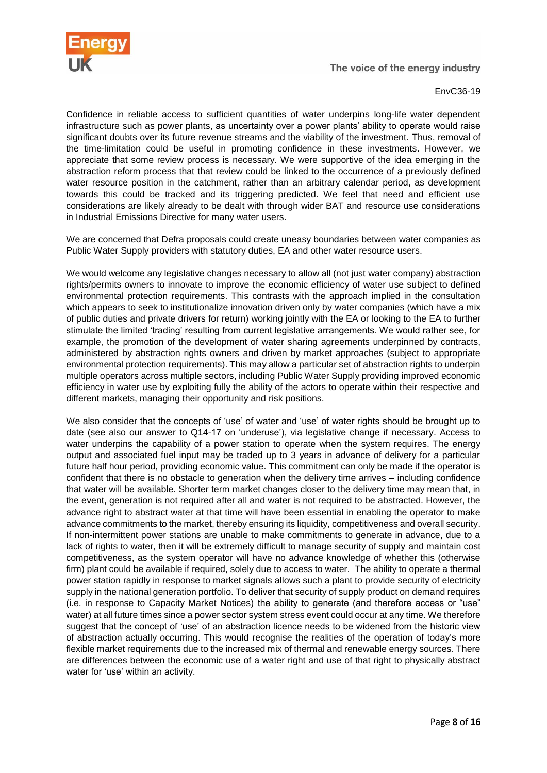![](_page_7_Picture_0.jpeg)

EnvC36-19

Confidence in reliable access to sufficient quantities of water underpins long-life water dependent infrastructure such as power plants, as uncertainty over a power plants' ability to operate would raise significant doubts over its future revenue streams and the viability of the investment. Thus, removal of the time-limitation could be useful in promoting confidence in these investments. However, we appreciate that some review process is necessary. We were supportive of the idea emerging in the abstraction reform process that that review could be linked to the occurrence of a previously defined water resource position in the catchment, rather than an arbitrary calendar period, as development towards this could be tracked and its triggering predicted. We feel that need and efficient use considerations are likely already to be dealt with through wider BAT and resource use considerations in Industrial Emissions Directive for many water users.

We are concerned that Defra proposals could create uneasy boundaries between water companies as Public Water Supply providers with statutory duties, EA and other water resource users.

We would welcome any legislative changes necessary to allow all (not just water company) abstraction rights/permits owners to innovate to improve the economic efficiency of water use subject to defined environmental protection requirements. This contrasts with the approach implied in the consultation which appears to seek to institutionalize innovation driven only by water companies (which have a mix of public duties and private drivers for return) working jointly with the EA or looking to the EA to further stimulate the limited 'trading' resulting from current legislative arrangements. We would rather see, for example, the promotion of the development of water sharing agreements underpinned by contracts, administered by abstraction rights owners and driven by market approaches (subject to appropriate environmental protection requirements). This may allow a particular set of abstraction rights to underpin multiple operators across multiple sectors, including Public Water Supply providing improved economic efficiency in water use by exploiting fully the ability of the actors to operate within their respective and different markets, managing their opportunity and risk positions.

We also consider that the concepts of 'use' of water and 'use' of water rights should be brought up to date (see also our answer to Q14-17 on 'underuse'), via legislative change if necessary. Access to water underpins the capability of a power station to operate when the system requires. The energy output and associated fuel input may be traded up to 3 years in advance of delivery for a particular future half hour period, providing economic value. This commitment can only be made if the operator is confident that there is no obstacle to generation when the delivery time arrives – including confidence that water will be available. Shorter term market changes closer to the delivery time may mean that, in the event, generation is not required after all and water is not required to be abstracted. However, the advance right to abstract water at that time will have been essential in enabling the operator to make advance commitments to the market, thereby ensuring its liquidity, competitiveness and overall security. If non-intermittent power stations are unable to make commitments to generate in advance, due to a lack of rights to water, then it will be extremely difficult to manage security of supply and maintain cost competitiveness, as the system operator will have no advance knowledge of whether this (otherwise firm) plant could be available if required, solely due to access to water. The ability to operate a thermal power station rapidly in response to market signals allows such a plant to provide security of electricity supply in the national generation portfolio. To deliver that security of supply product on demand requires (i.e. in response to Capacity Market Notices) the ability to generate (and therefore access or "use" water) at all future times since a power sector system stress event could occur at any time. We therefore suggest that the concept of 'use' of an abstraction licence needs to be widened from the historic view of abstraction actually occurring. This would recognise the realities of the operation of today's more flexible market requirements due to the increased mix of thermal and renewable energy sources. There are differences between the economic use of a water right and use of that right to physically abstract water for 'use' within an activity.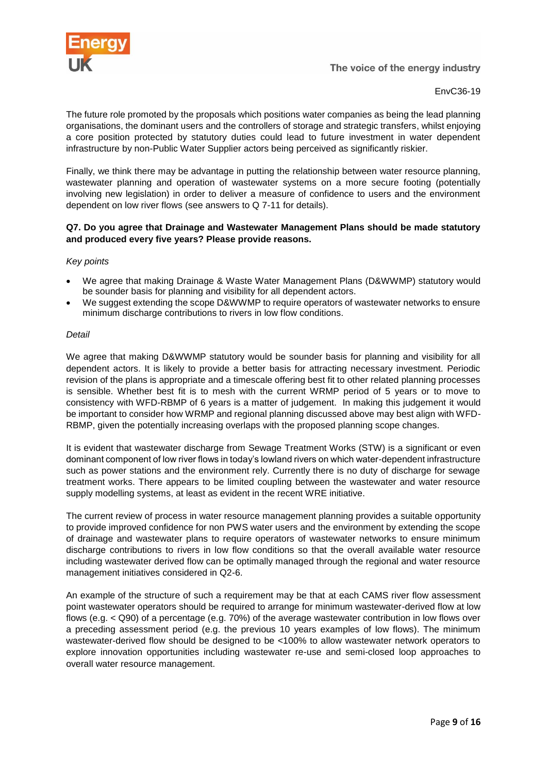![](_page_8_Picture_0.jpeg)

EnvC36-19

The future role promoted by the proposals which positions water companies as being the lead planning organisations, the dominant users and the controllers of storage and strategic transfers, whilst enjoying a core position protected by statutory duties could lead to future investment in water dependent infrastructure by non-Public Water Supplier actors being perceived as significantly riskier.

Finally, we think there may be advantage in putting the relationship between water resource planning, wastewater planning and operation of wastewater systems on a more secure footing (potentially involving new legislation) in order to deliver a measure of confidence to users and the environment dependent on low river flows (see answers to Q 7-11 for details).

# **Q7. Do you agree that Drainage and Wastewater Management Plans should be made statutory and produced every five years? Please provide reasons.**

# *Key points*

- We agree that making Drainage & Waste Water Management Plans (D&WWMP) statutory would be sounder basis for planning and visibility for all dependent actors.
- We suggest extending the scope D&WWMP to require operators of wastewater networks to ensure minimum discharge contributions to rivers in low flow conditions.

#### *Detail*

We agree that making D&WWMP statutory would be sounder basis for planning and visibility for all dependent actors. It is likely to provide a better basis for attracting necessary investment. Periodic revision of the plans is appropriate and a timescale offering best fit to other related planning processes is sensible. Whether best fit is to mesh with the current WRMP period of 5 years or to move to consistency with WFD-RBMP of 6 years is a matter of judgement. In making this judgement it would be important to consider how WRMP and regional planning discussed above may best align with WFD-RBMP, given the potentially increasing overlaps with the proposed planning scope changes.

It is evident that wastewater discharge from Sewage Treatment Works (STW) is a significant or even dominant component of low river flows in today's lowland rivers on which water-dependent infrastructure such as power stations and the environment rely. Currently there is no duty of discharge for sewage treatment works. There appears to be limited coupling between the wastewater and water resource supply modelling systems, at least as evident in the recent WRE initiative.

The current review of process in water resource management planning provides a suitable opportunity to provide improved confidence for non PWS water users and the environment by extending the scope of drainage and wastewater plans to require operators of wastewater networks to ensure minimum discharge contributions to rivers in low flow conditions so that the overall available water resource including wastewater derived flow can be optimally managed through the regional and water resource management initiatives considered in Q2-6.

An example of the structure of such a requirement may be that at each CAMS river flow assessment point wastewater operators should be required to arrange for minimum wastewater-derived flow at low flows (e.g. < Q90) of a percentage (e.g. 70%) of the average wastewater contribution in low flows over a preceding assessment period (e.g. the previous 10 years examples of low flows). The minimum wastewater-derived flow should be designed to be <100% to allow wastewater network operators to explore innovation opportunities including wastewater re-use and semi-closed loop approaches to overall water resource management.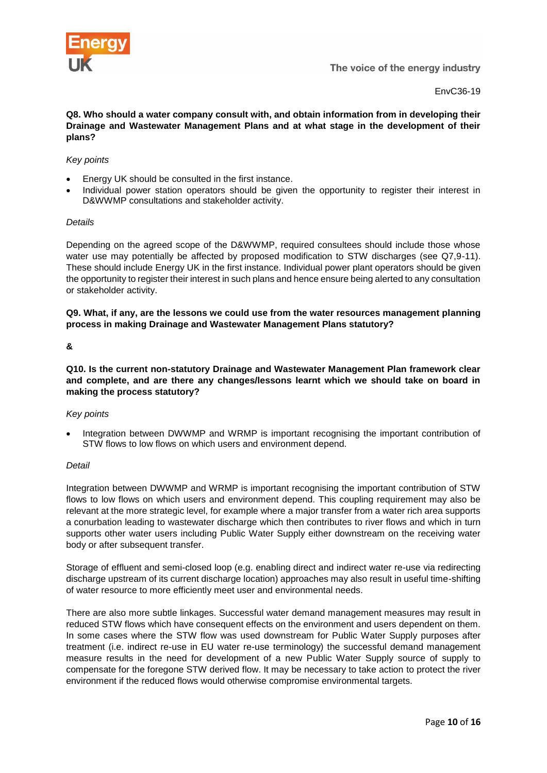![](_page_9_Picture_0.jpeg)

**Q8. Who should a water company consult with, and obtain information from in developing their Drainage and Wastewater Management Plans and at what stage in the development of their plans?** 

# *Key points*

- Energy UK should be consulted in the first instance.
- Individual power station operators should be given the opportunity to register their interest in D&WWMP consultations and stakeholder activity.

#### *Details*

Depending on the agreed scope of the D&WWMP, required consultees should include those whose water use may potentially be affected by proposed modification to STW discharges (see Q7,9-11). These should include Energy UK in the first instance. Individual power plant operators should be given the opportunity to register their interest in such plans and hence ensure being alerted to any consultation or stakeholder activity.

**Q9. What, if any, are the lessons we could use from the water resources management planning process in making Drainage and Wastewater Management Plans statutory?** 

# **&**

**Q10. Is the current non-statutory Drainage and Wastewater Management Plan framework clear and complete, and are there any changes/lessons learnt which we should take on board in making the process statutory?** 

#### *Key points*

• Integration between DWWMP and WRMP is important recognising the important contribution of STW flows to low flows on which users and environment depend.

#### *Detail*

Integration between DWWMP and WRMP is important recognising the important contribution of STW flows to low flows on which users and environment depend. This coupling requirement may also be relevant at the more strategic level, for example where a major transfer from a water rich area supports a conurbation leading to wastewater discharge which then contributes to river flows and which in turn supports other water users including Public Water Supply either downstream on the receiving water body or after subsequent transfer.

Storage of effluent and semi-closed loop (e.g. enabling direct and indirect water re-use via redirecting discharge upstream of its current discharge location) approaches may also result in useful time-shifting of water resource to more efficiently meet user and environmental needs.

There are also more subtle linkages. Successful water demand management measures may result in reduced STW flows which have consequent effects on the environment and users dependent on them. In some cases where the STW flow was used downstream for Public Water Supply purposes after treatment (i.e. indirect re-use in EU water re-use terminology) the successful demand management measure results in the need for development of a new Public Water Supply source of supply to compensate for the foregone STW derived flow. It may be necessary to take action to protect the river environment if the reduced flows would otherwise compromise environmental targets.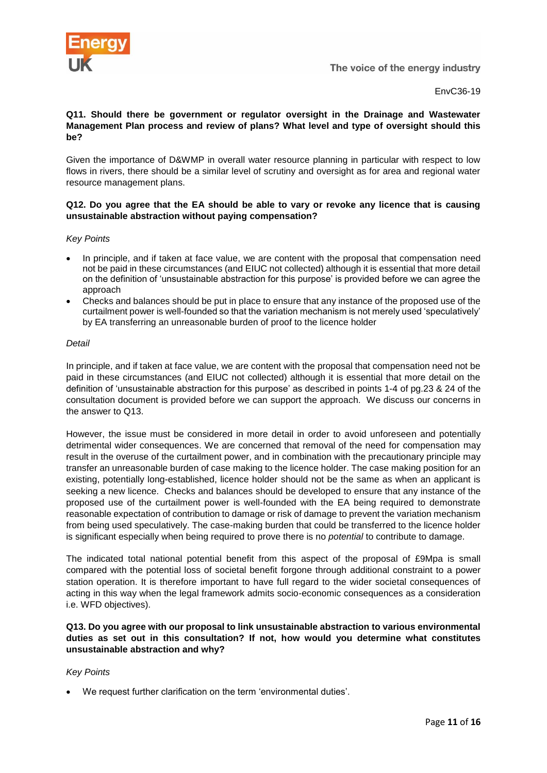![](_page_10_Picture_0.jpeg)

# **Q11. Should there be government or regulator oversight in the Drainage and Wastewater Management Plan process and review of plans? What level and type of oversight should this be?**

Given the importance of D&WMP in overall water resource planning in particular with respect to low flows in rivers, there should be a similar level of scrutiny and oversight as for area and regional water resource management plans.

# **Q12. Do you agree that the EA should be able to vary or revoke any licence that is causing unsustainable abstraction without paying compensation?**

# *Key Points*

- In principle, and if taken at face value, we are content with the proposal that compensation need not be paid in these circumstances (and EIUC not collected) although it is essential that more detail on the definition of 'unsustainable abstraction for this purpose' is provided before we can agree the approach
- Checks and balances should be put in place to ensure that any instance of the proposed use of the curtailment power is well-founded so that the variation mechanism is not merely used 'speculatively' by EA transferring an unreasonable burden of proof to the licence holder

# *Detail*

In principle, and if taken at face value, we are content with the proposal that compensation need not be paid in these circumstances (and EIUC not collected) although it is essential that more detail on the definition of 'unsustainable abstraction for this purpose' as described in points 1-4 of pg.23 & 24 of the consultation document is provided before we can support the approach. We discuss our concerns in the answer to Q13.

However, the issue must be considered in more detail in order to avoid unforeseen and potentially detrimental wider consequences. We are concerned that removal of the need for compensation may result in the overuse of the curtailment power, and in combination with the precautionary principle may transfer an unreasonable burden of case making to the licence holder. The case making position for an existing, potentially long-established, licence holder should not be the same as when an applicant is seeking a new licence. Checks and balances should be developed to ensure that any instance of the proposed use of the curtailment power is well-founded with the EA being required to demonstrate reasonable expectation of contribution to damage or risk of damage to prevent the variation mechanism from being used speculatively. The case-making burden that could be transferred to the licence holder is significant especially when being required to prove there is no *potential* to contribute to damage.

The indicated total national potential benefit from this aspect of the proposal of £9Mpa is small compared with the potential loss of societal benefit forgone through additional constraint to a power station operation. It is therefore important to have full regard to the wider societal consequences of acting in this way when the legal framework admits socio-economic consequences as a consideration i.e. WFD objectives).

# **Q13. Do you agree with our proposal to link unsustainable abstraction to various environmental duties as set out in this consultation? If not, how would you determine what constitutes unsustainable abstraction and why?**

# *Key Points*

• We request further clarification on the term 'environmental duties'.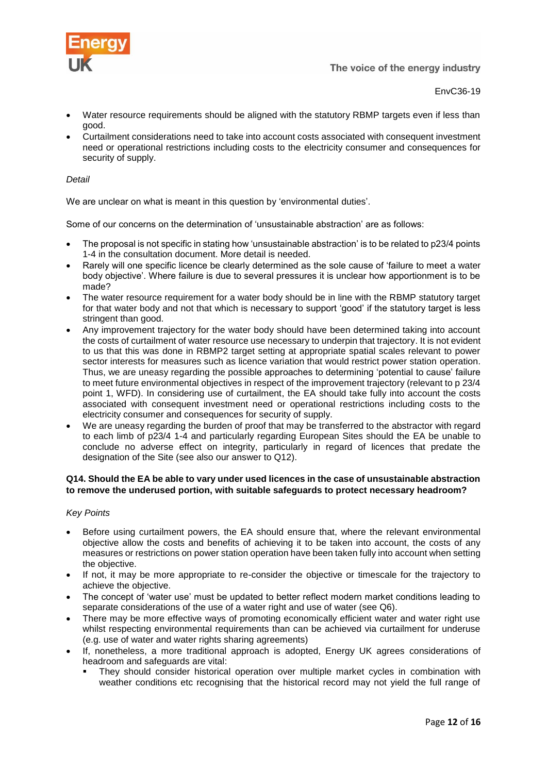![](_page_11_Picture_0.jpeg)

![](_page_11_Picture_1.jpeg)

- Water resource requirements should be aligned with the statutory RBMP targets even if less than good.
- Curtailment considerations need to take into account costs associated with consequent investment need or operational restrictions including costs to the electricity consumer and consequences for security of supply.

# *Detail*

We are unclear on what is meant in this question by 'environmental duties'.

Some of our concerns on the determination of 'unsustainable abstraction' are as follows:

- The proposal is not specific in stating how 'unsustainable abstraction' is to be related to p23/4 points 1-4 in the consultation document. More detail is needed.
- Rarely will one specific licence be clearly determined as the sole cause of 'failure to meet a water body objective'. Where failure is due to several pressures it is unclear how apportionment is to be made?
- The water resource requirement for a water body should be in line with the RBMP statutory target for that water body and not that which is necessary to support 'good' if the statutory target is less stringent than good.
- Any improvement trajectory for the water body should have been determined taking into account the costs of curtailment of water resource use necessary to underpin that trajectory. It is not evident to us that this was done in RBMP2 target setting at appropriate spatial scales relevant to power sector interests for measures such as licence variation that would restrict power station operation. Thus, we are uneasy regarding the possible approaches to determining 'potential to cause' failure to meet future environmental objectives in respect of the improvement trajectory (relevant to p 23/4 point 1, WFD). In considering use of curtailment, the EA should take fully into account the costs associated with consequent investment need or operational restrictions including costs to the electricity consumer and consequences for security of supply.
- We are uneasy regarding the burden of proof that may be transferred to the abstractor with regard to each limb of p23/4 1-4 and particularly regarding European Sites should the EA be unable to conclude no adverse effect on integrity, particularly in regard of licences that predate the designation of the Site (see also our answer to Q12).

# **Q14. Should the EA be able to vary under used licences in the case of unsustainable abstraction to remove the underused portion, with suitable safeguards to protect necessary headroom?**

#### *Key Points*

- Before using curtailment powers, the EA should ensure that, where the relevant environmental objective allow the costs and benefits of achieving it to be taken into account, the costs of any measures or restrictions on power station operation have been taken fully into account when setting the objective.
- If not, it may be more appropriate to re-consider the objective or timescale for the trajectory to achieve the objective.
- The concept of 'water use' must be updated to better reflect modern market conditions leading to separate considerations of the use of a water right and use of water (see Q6).
- There may be more effective ways of promoting economically efficient water and water right use whilst respecting environmental requirements than can be achieved via curtailment for underuse (e.g. use of water and water rights sharing agreements)
- If, nonetheless, a more traditional approach is adopted, Energy UK agrees considerations of headroom and safeguards are vital:
	- They should consider historical operation over multiple market cycles in combination with weather conditions etc recognising that the historical record may not yield the full range of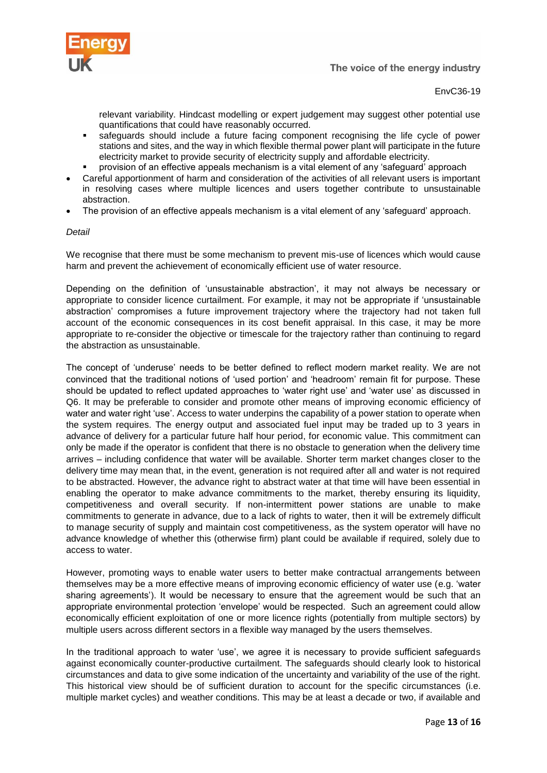![](_page_12_Picture_0.jpeg)

relevant variability. Hindcast modelling or expert judgement may suggest other potential use quantifications that could have reasonably occurred.

- safeguards should include a future facing component recognising the life cycle of power stations and sites, and the way in which flexible thermal power plant will participate in the future electricity market to provide security of electricity supply and affordable electricity.
- provision of an effective appeals mechanism is a vital element of any 'safeguard' approach
- Careful apportionment of harm and consideration of the activities of all relevant users is important in resolving cases where multiple licences and users together contribute to unsustainable abstraction.
- The provision of an effective appeals mechanism is a vital element of any 'safeguard' approach.

# *Detail*

We recognise that there must be some mechanism to prevent mis-use of licences which would cause harm and prevent the achievement of economically efficient use of water resource.

Depending on the definition of 'unsustainable abstraction', it may not always be necessary or appropriate to consider licence curtailment. For example, it may not be appropriate if 'unsustainable abstraction' compromises a future improvement trajectory where the trajectory had not taken full account of the economic consequences in its cost benefit appraisal. In this case, it may be more appropriate to re-consider the objective or timescale for the trajectory rather than continuing to regard the abstraction as unsustainable.

The concept of 'underuse' needs to be better defined to reflect modern market reality. We are not convinced that the traditional notions of 'used portion' and 'headroom' remain fit for purpose. These should be updated to reflect updated approaches to 'water right use' and 'water use' as discussed in Q6. It may be preferable to consider and promote other means of improving economic efficiency of water and water right 'use'. Access to water underpins the capability of a power station to operate when the system requires. The energy output and associated fuel input may be traded up to 3 years in advance of delivery for a particular future half hour period, for economic value. This commitment can only be made if the operator is confident that there is no obstacle to generation when the delivery time arrives – including confidence that water will be available. Shorter term market changes closer to the delivery time may mean that, in the event, generation is not required after all and water is not required to be abstracted. However, the advance right to abstract water at that time will have been essential in enabling the operator to make advance commitments to the market, thereby ensuring its liquidity, competitiveness and overall security. If non-intermittent power stations are unable to make commitments to generate in advance, due to a lack of rights to water, then it will be extremely difficult to manage security of supply and maintain cost competitiveness, as the system operator will have no advance knowledge of whether this (otherwise firm) plant could be available if required, solely due to access to water.

However, promoting ways to enable water users to better make contractual arrangements between themselves may be a more effective means of improving economic efficiency of water use (e.g. 'water sharing agreements'). It would be necessary to ensure that the agreement would be such that an appropriate environmental protection 'envelope' would be respected. Such an agreement could allow economically efficient exploitation of one or more licence rights (potentially from multiple sectors) by multiple users across different sectors in a flexible way managed by the users themselves.

In the traditional approach to water 'use', we agree it is necessary to provide sufficient safeguards against economically counter-productive curtailment. The safeguards should clearly look to historical circumstances and data to give some indication of the uncertainty and variability of the use of the right. This historical view should be of sufficient duration to account for the specific circumstances (i.e. multiple market cycles) and weather conditions. This may be at least a decade or two, if available and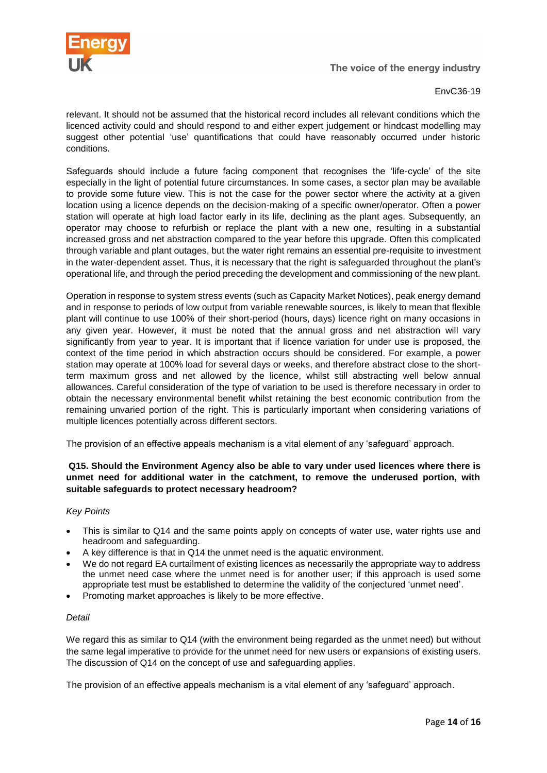![](_page_13_Picture_0.jpeg)

EnvC36-19

relevant. It should not be assumed that the historical record includes all relevant conditions which the licenced activity could and should respond to and either expert judgement or hindcast modelling may suggest other potential 'use' quantifications that could have reasonably occurred under historic conditions.

Safeguards should include a future facing component that recognises the 'life-cycle' of the site especially in the light of potential future circumstances. In some cases, a sector plan may be available to provide some future view. This is not the case for the power sector where the activity at a given location using a licence depends on the decision-making of a specific owner/operator. Often a power station will operate at high load factor early in its life, declining as the plant ages. Subsequently, an operator may choose to refurbish or replace the plant with a new one, resulting in a substantial increased gross and net abstraction compared to the year before this upgrade. Often this complicated through variable and plant outages, but the water right remains an essential pre-requisite to investment in the water-dependent asset. Thus, it is necessary that the right is safeguarded throughout the plant's operational life, and through the period preceding the development and commissioning of the new plant.

Operation in response to system stress events (such as Capacity Market Notices), peak energy demand and in response to periods of low output from variable renewable sources, is likely to mean that flexible plant will continue to use 100% of their short-period (hours, days) licence right on many occasions in any given year. However, it must be noted that the annual gross and net abstraction will vary significantly from year to year. It is important that if licence variation for under use is proposed, the context of the time period in which abstraction occurs should be considered. For example, a power station may operate at 100% load for several days or weeks, and therefore abstract close to the shortterm maximum gross and net allowed by the licence, whilst still abstracting well below annual allowances. Careful consideration of the type of variation to be used is therefore necessary in order to obtain the necessary environmental benefit whilst retaining the best economic contribution from the remaining unvaried portion of the right. This is particularly important when considering variations of multiple licences potentially across different sectors.

The provision of an effective appeals mechanism is a vital element of any 'safeguard' approach.

# **Q15. Should the Environment Agency also be able to vary under used licences where there is unmet need for additional water in the catchment, to remove the underused portion, with suitable safeguards to protect necessary headroom?**

# *Key Points*

- This is similar to Q14 and the same points apply on concepts of water use, water rights use and headroom and safeguarding.
- A key difference is that in Q14 the unmet need is the aquatic environment.
- We do not regard EA curtailment of existing licences as necessarily the appropriate way to address the unmet need case where the unmet need is for another user; if this approach is used some appropriate test must be established to determine the validity of the conjectured 'unmet need'.
- Promoting market approaches is likely to be more effective.

# *Detail*

We regard this as similar to Q14 (with the environment being regarded as the unmet need) but without the same legal imperative to provide for the unmet need for new users or expansions of existing users. The discussion of Q14 on the concept of use and safeguarding applies.

The provision of an effective appeals mechanism is a vital element of any 'safeguard' approach.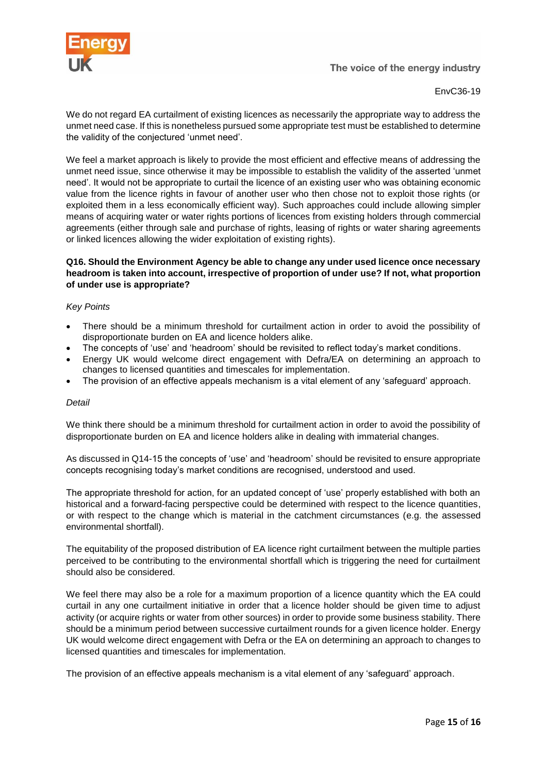![](_page_14_Picture_0.jpeg)

EnvC36-19

We do not regard EA curtailment of existing licences as necessarily the appropriate way to address the unmet need case. If this is nonetheless pursued some appropriate test must be established to determine the validity of the conjectured 'unmet need'.

We feel a market approach is likely to provide the most efficient and effective means of addressing the unmet need issue, since otherwise it may be impossible to establish the validity of the asserted 'unmet need'. It would not be appropriate to curtail the licence of an existing user who was obtaining economic value from the licence rights in favour of another user who then chose not to exploit those rights (or exploited them in a less economically efficient way). Such approaches could include allowing simpler means of acquiring water or water rights portions of licences from existing holders through commercial agreements (either through sale and purchase of rights, leasing of rights or water sharing agreements or linked licences allowing the wider exploitation of existing rights).

# **Q16. Should the Environment Agency be able to change any under used licence once necessary headroom is taken into account, irrespective of proportion of under use? If not, what proportion of under use is appropriate?**

# *Key Points*

- There should be a minimum threshold for curtailment action in order to avoid the possibility of disproportionate burden on EA and licence holders alike.
- The concepts of 'use' and 'headroom' should be revisited to reflect today's market conditions.
- Energy UK would welcome direct engagement with Defra/EA on determining an approach to changes to licensed quantities and timescales for implementation.
- The provision of an effective appeals mechanism is a vital element of any 'safeguard' approach.

#### *Detail*

We think there should be a minimum threshold for curtailment action in order to avoid the possibility of disproportionate burden on EA and licence holders alike in dealing with immaterial changes.

As discussed in Q14-15 the concepts of 'use' and 'headroom' should be revisited to ensure appropriate concepts recognising today's market conditions are recognised, understood and used.

The appropriate threshold for action, for an updated concept of 'use' properly established with both an historical and a forward-facing perspective could be determined with respect to the licence quantities, or with respect to the change which is material in the catchment circumstances (e.g. the assessed environmental shortfall).

The equitability of the proposed distribution of EA licence right curtailment between the multiple parties perceived to be contributing to the environmental shortfall which is triggering the need for curtailment should also be considered.

We feel there may also be a role for a maximum proportion of a licence quantity which the EA could curtail in any one curtailment initiative in order that a licence holder should be given time to adjust activity (or acquire rights or water from other sources) in order to provide some business stability. There should be a minimum period between successive curtailment rounds for a given licence holder. Energy UK would welcome direct engagement with Defra or the EA on determining an approach to changes to licensed quantities and timescales for implementation.

The provision of an effective appeals mechanism is a vital element of any 'safeguard' approach.